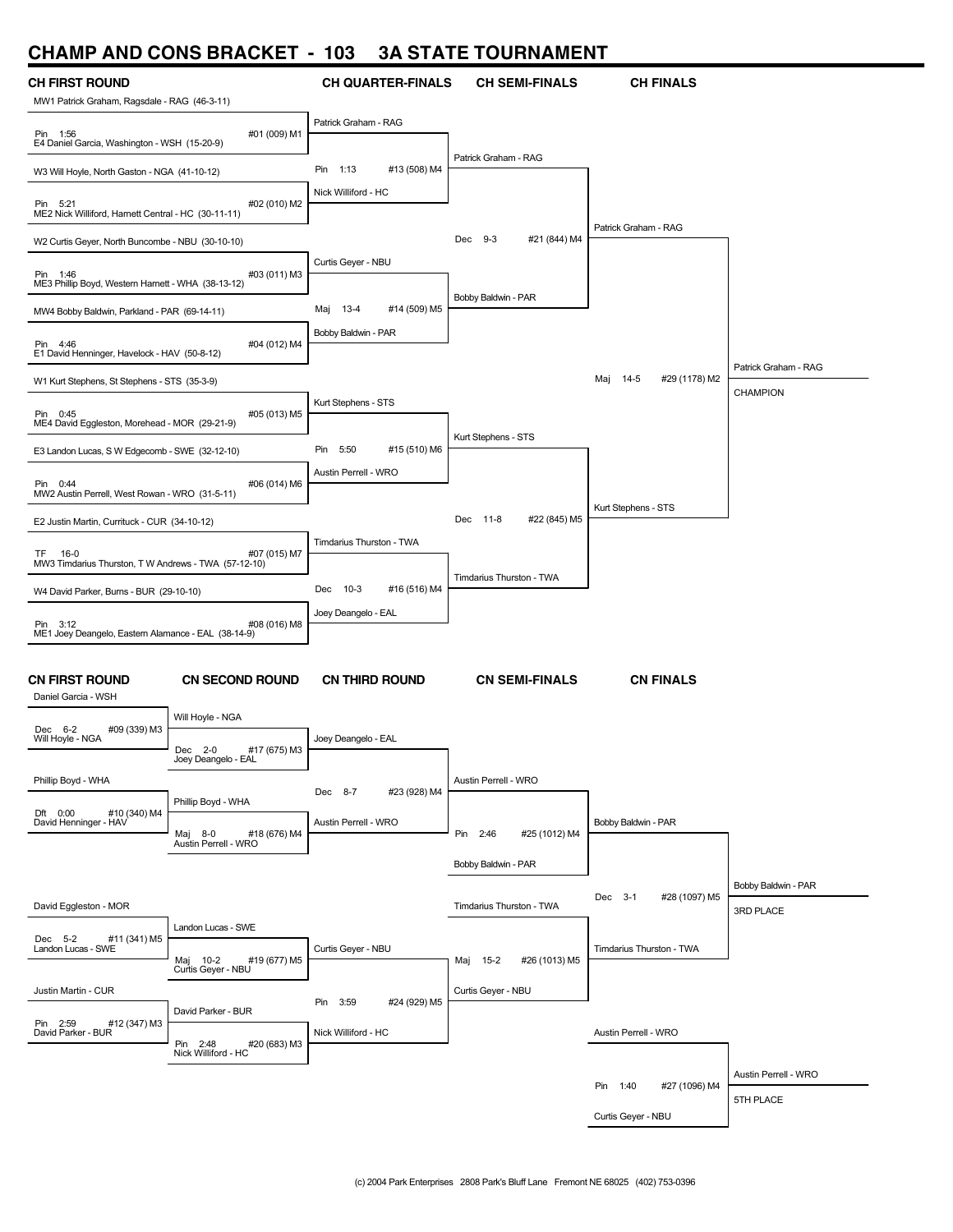# **CHAMP AND CONS BRACKET - 103 3A STATE TOURNAMENT**

| <b>CH FIRST ROUND</b>                                              |                                                 | <b>CH QUARTER-FINALS</b>        | <b>CH SEMI-FINALS</b>     | <b>CH FINALS</b>          |                                  |
|--------------------------------------------------------------------|-------------------------------------------------|---------------------------------|---------------------------|---------------------------|----------------------------------|
| MW1 Patrick Graham, Ragsdale - RAG (46-3-11)                       |                                                 |                                 |                           |                           |                                  |
| Pin 1:56<br>E4 Daniel Garcia, Washington - WSH (15-20-9)           | #01 (009) M1                                    | Patrick Graham - RAG            |                           |                           |                                  |
| W3 Will Hoyle, North Gaston - NGA (41-10-12)                       |                                                 | #13 (508) M4<br>Pin<br>1:13     | Patrick Graham - RAG      |                           |                                  |
| Pin 5:21<br>ME2 Nick Williford, Harnett Central - HC (30-11-11)    | #02 (010) M2                                    | Nick Williford - HC             |                           |                           |                                  |
| W2 Curtis Geyer, North Buncombe - NBU (30-10-10)                   |                                                 |                                 | Dec 9-3<br>#21 (844) M4   | Patrick Graham - RAG      |                                  |
| Pin 1:46<br>ME3 Phillip Boyd, Western Harnett - WHA (38-13-12)     | #03 (011) M3                                    | Curtis Geyer - NBU              |                           |                           |                                  |
| MW4 Bobby Baldwin, Parkland - PAR (69-14-11)                       |                                                 | #14 (509) M5<br>$13 - 4$<br>Maj | Bobby Baldwin - PAR       |                           |                                  |
| Pin 4:46<br>E1 David Henninger, Havelock - HAV (50-8-12)           | #04 (012) M4                                    | Bobby Baldwin - PAR             |                           |                           | Patrick Graham - RAG             |
| W1 Kurt Stephens, St Stephens - STS (35-3-9)                       |                                                 |                                 |                           | #29 (1178) M2<br>Maj 14-5 | CHAMPION                         |
| Pin 0:45<br>ME4 David Eggleston, Morehead - MOR (29-21-9)          | #05 (013) M5                                    | Kurt Stephens - STS             | Kurt Stephens - STS       |                           |                                  |
| E3 Landon Lucas, S W Edgecomb - SWE (32-12-10)                     |                                                 | 5:50<br>#15 (510) M6<br>Pin     |                           |                           |                                  |
| Pin 0:44<br>MW2 Austin Perrell, West Rowan - WRO (31-5-11)         | #06 (014) M6                                    | Austin Perrell - WRO            |                           | Kurt Stephens - STS       |                                  |
| E2 Justin Martin, Currituck - CUR (34-10-12)                       |                                                 |                                 | Dec 11-8<br>#22 (845) M5  |                           |                                  |
| TF<br>16-0<br>MW3 Timdarius Thurston, T W Andrews - TWA (57-12-10) | #07 (015) M7                                    | Timdarius Thurston - TWA        | Timdarius Thurston - TWA  |                           |                                  |
| W4 David Parker, Burns - BUR (29-10-10)                            |                                                 | Dec 10-3<br>#16 (516) M4        |                           |                           |                                  |
| Pin 3:12<br>ME1 Joey Deangelo, Eastern Alamance - EAL (38-14-9)    | #08 (016) M8                                    | Joey Deangelo - EAL             |                           |                           |                                  |
| <b>CN FIRST ROUND</b><br>Daniel Garcia - WSH                       | <b>CN SECOND ROUND</b>                          | <b>CN THIRD ROUND</b>           | <b>CN SEMI-FINALS</b>     | <b>CN FINALS</b>          |                                  |
| #09 (339) M3<br>Dec 6-2<br>Will Hoyle - NGA                        | Will Hoyle - NGA                                | Joey Deangelo - EAL             |                           |                           |                                  |
|                                                                    | Dec 2-0<br>#17 (675) M3<br>Joey Deangelo - EAL  |                                 |                           |                           |                                  |
| Phillip Boyd - WHA                                                 | Phillip Boyd - WHA                              | Dec 8-7<br>#23 (928) M4         | Austin Perrell - WRO      |                           |                                  |
| Dft 0:00<br>#10 (340) M4<br>David Henninger - HAV                  | #18 (676) M4<br>Maj 8-0<br>Austin Perrell - WRO | Austin Perrell - WRO            | Pin 2:46<br>#25 (1012) M4 | Bobby Baldwin - PAR       |                                  |
|                                                                    |                                                 |                                 | Bobby Baldwin - PAR       |                           |                                  |
| David Eggleston - MOR                                              |                                                 |                                 | Timdarius Thurston - TWA  | #28 (1097) M5<br>Dec 3-1  | Bobby Baldwin - PAR<br>3RD PLACE |
| Dec 5-2<br>#11 (341) M5                                            | Landon Lucas - SWE                              |                                 |                           |                           |                                  |
| Landon Lucas - SWE                                                 | Maj 10-2<br>#19 (677) M5<br>Curtis Geyer - NBU  | Curtis Geyer - NBU              | Maj 15-2<br>#26 (1013) M5 | Timdarius Thurston - TWA  |                                  |
| Justin Martin - CUR                                                |                                                 | 3:59<br>#24 (929) M5<br>Pin     | Curtis Geyer - NBU        |                           |                                  |
| Pin 2:59<br>#12 (347) M3<br>David Parker - BUR                     | David Parker - BUR                              | Nick Williford - HC             |                           | Austin Perrell - WRO      |                                  |
|                                                                    | #20 (683) M3<br>Pin 2:48<br>Nick Williford - HC |                                 |                           |                           |                                  |
|                                                                    |                                                 |                                 |                           | #27 (1096) M4<br>Pin 1:40 | Austin Perrell - WRO             |
|                                                                    |                                                 |                                 |                           | <b>NDI</b>                | 5TH PLACE                        |

Curtis Geyer - NBU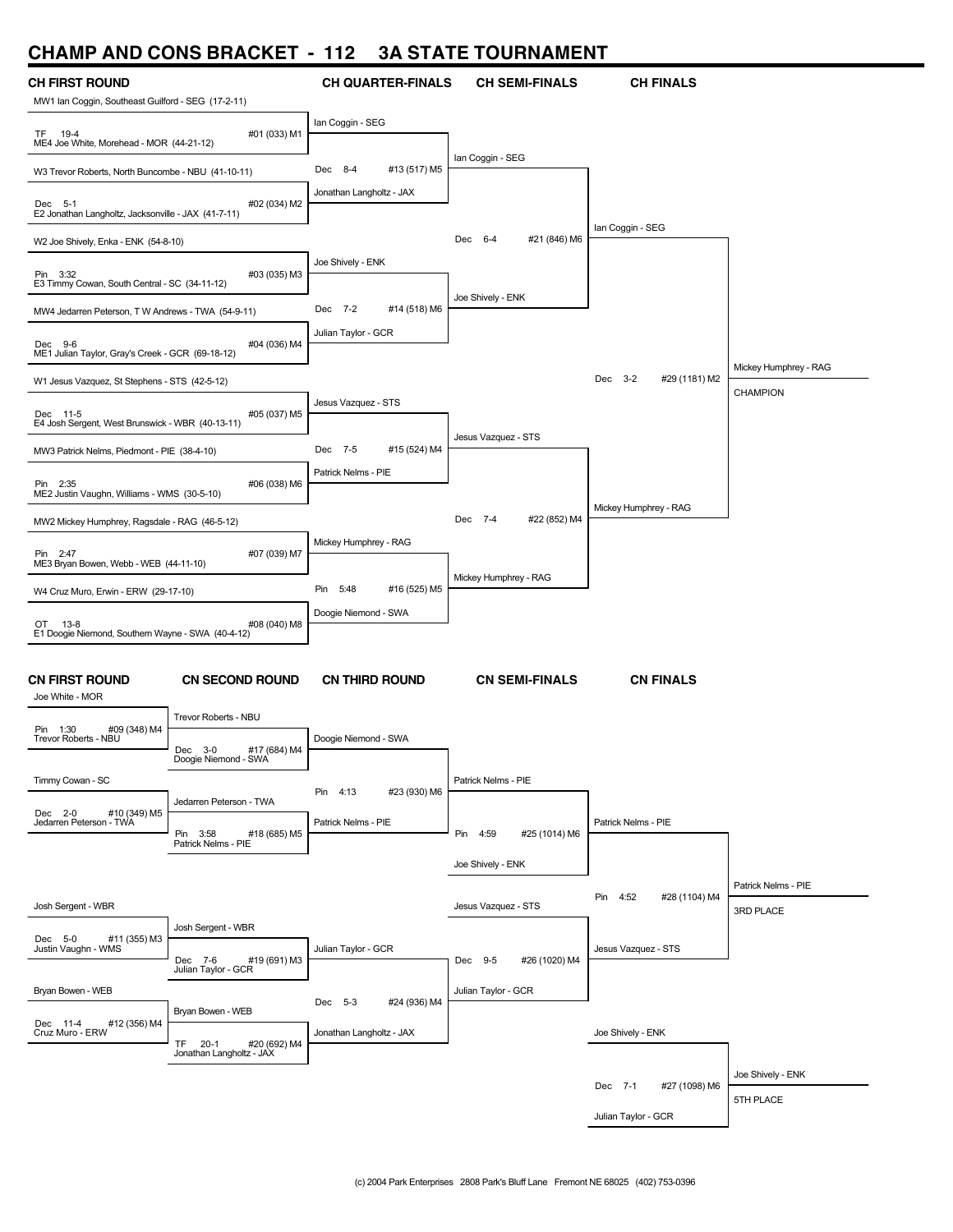#### **CHAMP AND CONS BRACKET - 112 3A STATE TOURNAMENT**

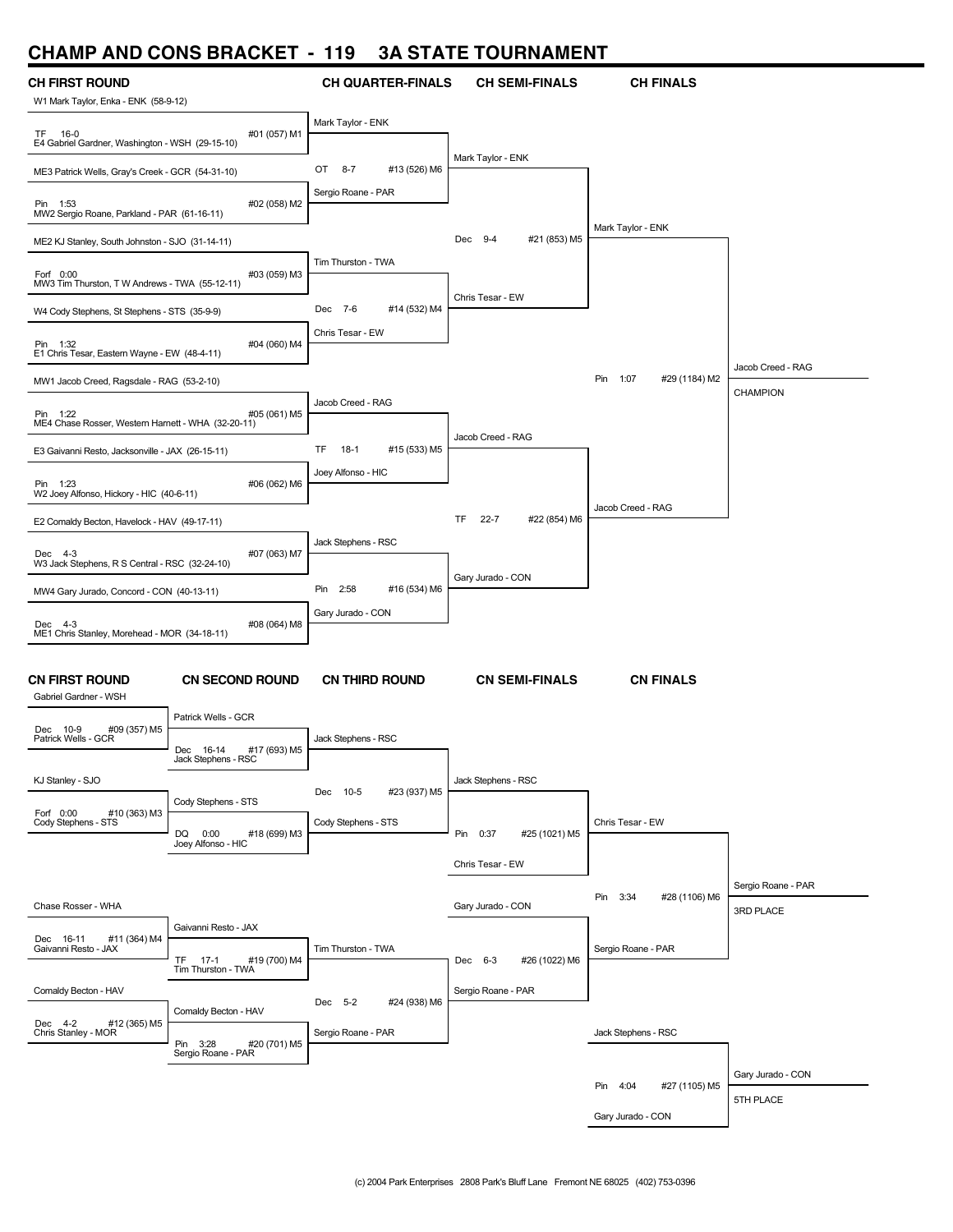## **CHAMP AND CONS BRACKET - 119 3A STATE TOURNAMENT**

| . .                                                           |                                                     |                              |                                 |                           |                    |
|---------------------------------------------------------------|-----------------------------------------------------|------------------------------|---------------------------------|---------------------------|--------------------|
| <b>CH FIRST ROUND</b><br>W1 Mark Taylor, Enka - ENK (58-9-12) |                                                     | <b>CH QUARTER-FINALS</b>     | <b>CH SEMI-FINALS</b>           | <b>CH FINALS</b>          |                    |
|                                                               |                                                     | Mark Taylor - ENK            |                                 |                           |                    |
| TF 16-0<br>E4 Gabriel Gardner, Washington - WSH (29-15-10)    | #01 (057) M1                                        |                              |                                 |                           |                    |
| ME3 Patrick Wells, Gray's Creek - GCR (54-31-10)              |                                                     | #13 (526) M6<br>OT 8-7       | Mark Taylor - ENK               |                           |                    |
| Pin 1:53<br>MW2 Sergio Roane, Parkland - PAR (61-16-11)       | #02 (058) M2                                        | Sergio Roane - PAR           |                                 |                           |                    |
| ME2 KJ Stanley, South Johnston - SJO (31-14-11)               |                                                     |                              | #21 (853) M5<br>Dec 9-4         | Mark Taylor - ENK         |                    |
| Forf 0:00<br>MW3 Tim Thurston, T W Andrews - TWA (55-12-11)   | #03 (059) M3                                        | Tim Thurston - TWA           |                                 |                           |                    |
| W4 Cody Stephens, St Stephens - STS (35-9-9)                  |                                                     | Dec 7-6<br>#14 (532) M4      | Chris Tesar - EW                |                           |                    |
| Pin 1:32<br>E1 Chris Tesar, Eastern Wayne - EW (48-4-11)      | #04 (060) M4                                        | Chris Tesar - EW             |                                 |                           |                    |
| MW1 Jacob Creed, Ragsdale - RAG (53-2-10)                     |                                                     |                              |                                 | Pin 1:07<br>#29 (1184) M2 | Jacob Creed - RAG  |
| Pin 1:22                                                      | #05 (061) M5                                        | Jacob Creed - RAG            |                                 |                           | CHAMPION           |
| ME4 Chase Rosser, Western Harnett - WHA (32-20-11)            |                                                     |                              | Jacob Creed - RAG               |                           |                    |
| E3 Gaivanni Resto, Jacksonville - JAX (26-15-11)              |                                                     | #15 (533) M5<br>TF<br>$18-1$ |                                 |                           |                    |
| Pin 1:23<br>W2 Joey Alfonso, Hickory - HIC (40-6-11)          | #06 (062) M6                                        | Joey Alfonso - HIC           |                                 | Jacob Creed - RAG         |                    |
| E2 Comaldy Becton, Havelock - HAV (49-17-11)                  |                                                     |                              | $22 - 7$<br>#22 (854) M6<br>TF. |                           |                    |
| Dec 4-3<br>W3 Jack Stephens, R S Central - RSC (32-24-10)     | #07 (063) M7                                        | Jack Stephens - RSC          |                                 |                           |                    |
| MW4 Gary Jurado, Concord - CON (40-13-11)                     |                                                     | Pin 2:58<br>#16 (534) M6     | Gary Jurado - CON               |                           |                    |
|                                                               |                                                     | Gary Jurado - CON            |                                 |                           |                    |
| Dec 4-3<br>ME1 Chris Stanley, Morehead - MOR (34-18-11)       | #08 (064) M8                                        |                              |                                 |                           |                    |
| <b>CN FIRST ROUND</b><br>Gabriel Gardner - WSH                | <b>CN SECOND ROUND</b>                              | <b>CN THIRD ROUND</b>        | <b>CN SEMI-FINALS</b>           | <b>CN FINALS</b>          |                    |
| Dec 10-9<br>#09 (357) M5<br>Patrick Wells - GCR               | Patrick Wells - GCR                                 | Jack Stephens - RSC          |                                 |                           |                    |
|                                                               | #17 (693) M5<br>Dec<br>16-14<br>Jack Stephens - RSC |                              |                                 |                           |                    |
| KJ Stanley - SJO                                              |                                                     | Dec 10-5<br>#23 (937) M5     | Jack Stephens - RSC             |                           |                    |
| Forf 0:00<br>#10 (363) M3<br>Cody Stephens - STS              | Cody Stephens - STS                                 | Cody Stephens - STS          |                                 | Chris Tesar - EW          |                    |
|                                                               | DQ<br>0:00<br>#18 (699) M3<br>Joey Alfonso - HIC    |                              | Pin 0:37<br>#25 (1021) M5       |                           |                    |
|                                                               |                                                     |                              | Chris Tesar - EW                |                           |                    |
|                                                               |                                                     |                              |                                 | Pin 3:34<br>#28 (1106) M6 | Sergio Roane - PAR |
| Chase Rosser - WHA                                            |                                                     |                              | Gary Jurado - CON               |                           | 3RD PLACE          |
| Dec 16-11<br>#11 (364) M4<br>Gaivanni Resto - JAX             | Gaivanni Resto - JAX                                | Tim Thurston - TWA           |                                 | Sergio Roane - PAR        |                    |
|                                                               | TF<br>$17-1$<br>#19 (700) M4<br>Tim Thurston - TWA  |                              | #26 (1022) M6<br>Dec 6-3        |                           |                    |
| Comaldy Becton - HAV                                          |                                                     | Dec 5-2<br>#24 (938) M6      | Sergio Roane - PAR              |                           |                    |
| Dec 4-2<br>#12 (365) M5                                       | Comaldy Becton - HAV                                |                              |                                 |                           |                    |
| Chris Stanley - MOR                                           | Pin 3:28<br>#20 (701) M5<br>Sergio Roane - PAR      | Sergio Roane - PAR           |                                 | Jack Stephens - RSC       |                    |
|                                                               |                                                     |                              |                                 |                           | Gary Jurado - CON  |
|                                                               |                                                     |                              |                                 | Pin 4:04<br>#27 (1105) M5 | 5TH PLACE          |
|                                                               |                                                     |                              |                                 | Gary Jurado - CON         |                    |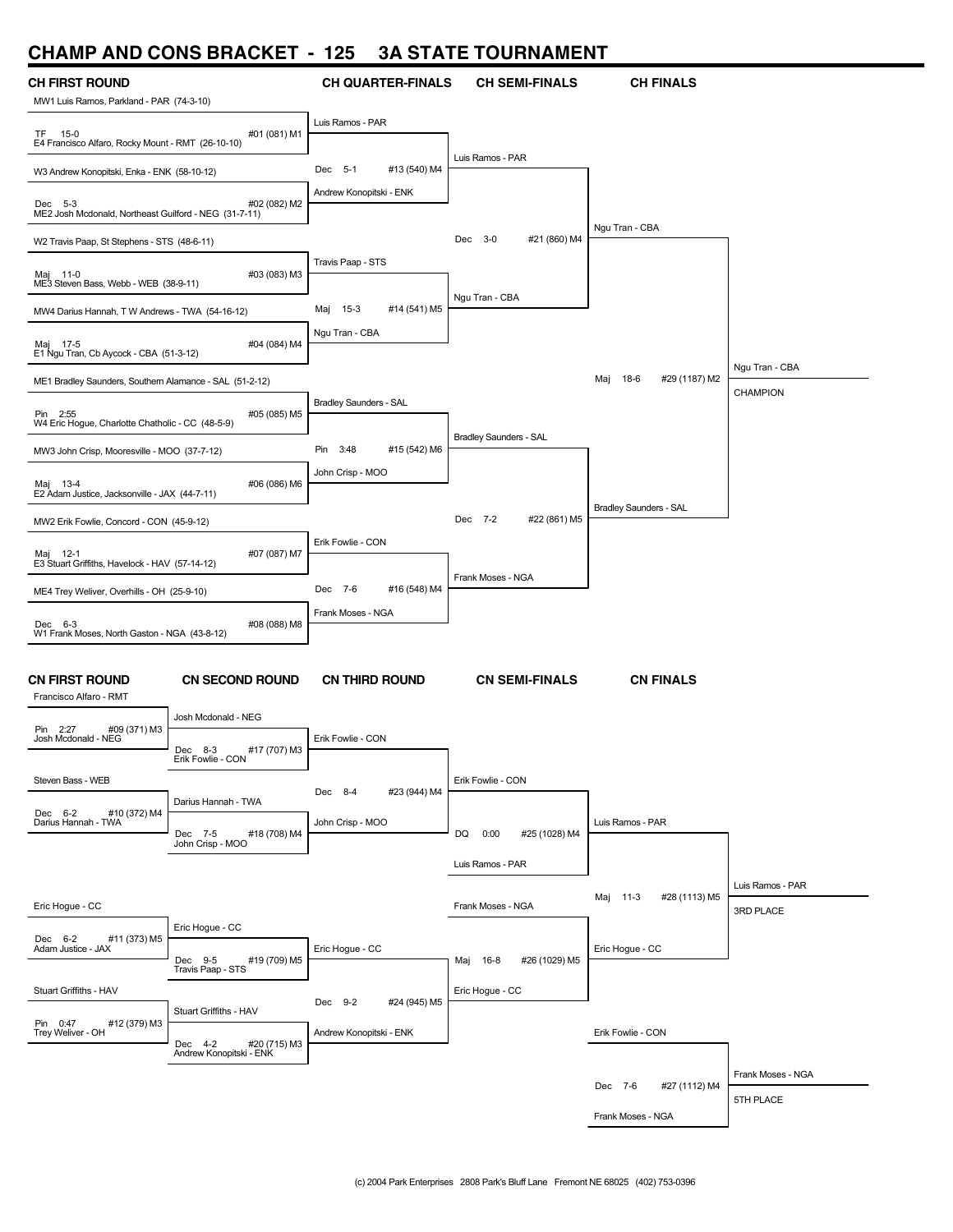## **CHAMP AND CONS BRACKET - 125 3A STATE TOURNAMENT**

| <b>CH FIRST ROUND</b>                                            |                                                    | <b>CH QUARTER-FINALS</b>                           | <b>CH SEMI-FINALS</b>       | <b>CH FINALS</b>              |                   |
|------------------------------------------------------------------|----------------------------------------------------|----------------------------------------------------|-----------------------------|-------------------------------|-------------------|
| MW1 Luis Ramos, Parkland - PAR (74-3-10)                         |                                                    |                                                    |                             |                               |                   |
| TF.<br>-- 15-0                                                   | #01 (081) M1                                       | Luis Ramos - PAR                                   |                             |                               |                   |
| E4 Francisco Alfaro, Rocky Mount - RMT (26-10-10)                |                                                    |                                                    | Luis Ramos - PAR            |                               |                   |
| W3 Andrew Konopitski, Enka - ENK (58-10-12)                      |                                                    | Dec 5-1<br>#13 (540) M4<br>Andrew Konopitski - ENK |                             |                               |                   |
| Dec 5-3<br>ME2 Josh Mcdonald, Northeast Guilford - NEG (31-7-11) | #02 (082) M2                                       |                                                    |                             |                               |                   |
| W2 Travis Paap, St Stephens - STS (48-6-11)                      |                                                    |                                                    | Dec 3-0<br>#21 (860) M4     | Ngu Tran - CBA                |                   |
| Maj 11-0<br>ME3 Steven Bass, Webb - WEB (38-9-11)                | #03 (083) M3                                       | Travis Paap - STS                                  |                             |                               |                   |
| MW4 Darius Hannah, T W Andrews - TWA (54-16-12)                  |                                                    | $15-3$<br>#14 (541) M5<br>Maj                      | Ngu Tran - CBA              |                               |                   |
| Maj 17-5<br>E1 Ngu Tran, Cb Aycock - CBA (51-3-12)               | #04 (084) M4                                       | Ngu Tran - CBA                                     |                             |                               |                   |
| ME1 Bradley Saunders, Southern Alamance - SAL (51-2-12)          |                                                    |                                                    |                             | Maj<br>18-6<br>#29 (1187) M2  | Ngu Tran - CBA    |
| Pin 2:55<br>W4 Eric Hogue, Charlotte Chatholic - CC (48-5-9)     | #05 (085) M5                                       | <b>Bradley Saunders - SAL</b>                      |                             |                               | <b>CHAMPION</b>   |
| MW3 John Crisp, Mooresville - MOO (37-7-12)                      |                                                    | Pin<br>3:48<br>#15 (542) M6                        | Bradley Saunders - SAL      |                               |                   |
| Maj 13-4<br>E2 Adam Justice, Jacksonville - JAX (44-7-11)        | #06 (086) M6                                       | John Crisp - MOO                                   |                             |                               |                   |
| MW2 Erik Fowlie, Concord - CON (45-9-12)                         |                                                    |                                                    | Dec 7-2<br>#22 (861) M5     | <b>Bradley Saunders - SAL</b> |                   |
|                                                                  |                                                    | Erik Fowlie - CON                                  |                             |                               |                   |
| Maj 12-1<br>E3 Stuart Griffiths, Havelock - HAV (57-14-12)       | #07 (087) M7                                       |                                                    | Frank Moses - NGA           |                               |                   |
| ME4 Trey Weliver, Overhills - OH (25-9-10)                       |                                                    | Dec 7-6<br>#16 (548) M4                            |                             |                               |                   |
| Dec 6-3<br>W1 Frank Moses, North Gaston - NGA (43-8-12)          | #08 (088) M8                                       | Frank Moses - NGA                                  |                             |                               |                   |
|                                                                  |                                                    |                                                    |                             |                               |                   |
| <b>CN FIRST ROUND</b><br>Francisco Alfaro - RMT                  | <b>CN SECOND ROUND</b>                             | <b>CN THIRD ROUND</b>                              | <b>CN SEMI-FINALS</b>       | <b>CN FINALS</b>              |                   |
| Pin 2:27<br>#09 (371) M3                                         | Josh Mcdonald - NEG                                |                                                    |                             |                               |                   |
| Josh Mcdonald - NEG                                              | Dec<br>8-3<br>#17 (707) M3<br>Erik Fowlie - CON    | Erik Fowlie - CON                                  |                             |                               |                   |
| Steven Bass - WEB                                                |                                                    | Dec 8-4<br>#23 (944) M4                            | Erik Fowlie - CON           |                               |                   |
| #10 (372) M4<br>Dec 6-2<br>Darius Hannah - TWA                   | Darius Hannah - TWA                                | John Crisp - MOO                                   |                             | Luis Ramos - PAR              |                   |
|                                                                  | Dec 7-5<br>#18 (708) M4<br>John Crisp - MOO        |                                                    | DQ<br>0:00<br>#25 (1028) M4 |                               |                   |
|                                                                  |                                                    |                                                    | Luis Ramos - PAR            |                               |                   |
| Eric Hogue - CC                                                  |                                                    |                                                    | Frank Moses - NGA           | Maj<br>11-3<br>#28 (1113) M5  | Luis Ramos - PAR  |
|                                                                  | Eric Hoque - CC                                    |                                                    |                             |                               | 3RD PLACE         |
| Dec 6-2<br>#11 (373) M5<br>Adam Justice - JAX                    | Dec 9-5<br>#19 (709) M5                            | Eric Hogue - CC                                    | Maj 16-8<br>#26 (1029) M5   | Eric Hogue - CC               |                   |
|                                                                  | Travis Paap - STS                                  |                                                    |                             |                               |                   |
| Stuart Griffiths - HAV                                           | Stuart Griffiths - HAV                             | Dec 9-2<br>#24 (945) M5                            | Eric Hogue - CC             |                               |                   |
| Pin 0:47<br>#12 (379) M3<br>Trey Weliver - OH                    |                                                    | Andrew Konopitski - ENK                            |                             | Erik Fowlie - CON             |                   |
|                                                                  | Dec 4-2<br>#20 (715) M3<br>Andrew Konopitski - ENK |                                                    |                             |                               |                   |
|                                                                  |                                                    |                                                    |                             | Dec 7-6<br>#27 (1112) M4      | Frank Moses - NGA |
|                                                                  |                                                    |                                                    |                             | Frank Moses - NGA             | 5TH PLACE         |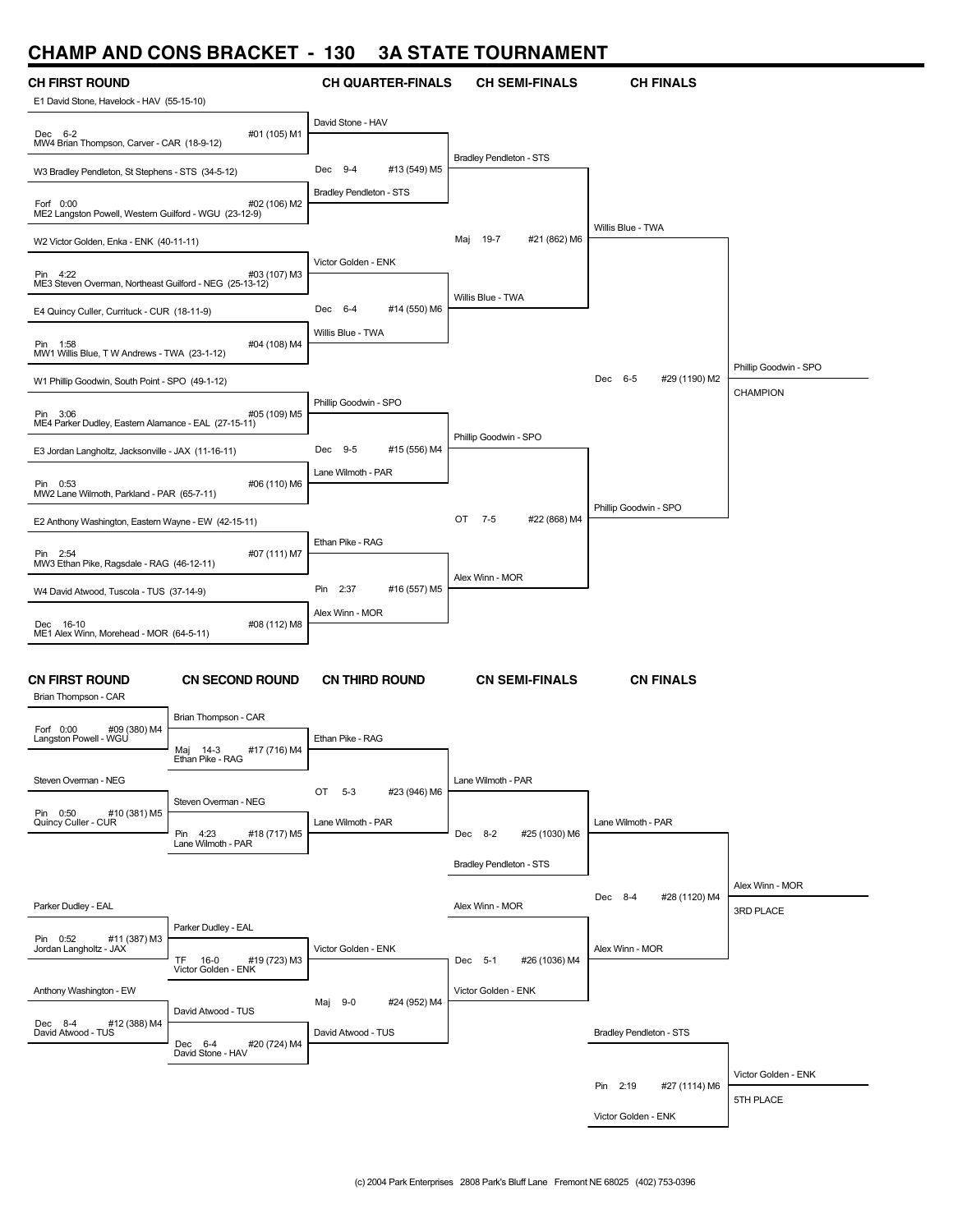#### **CHAMP AND CONS BRACKET - 130 3A STATE TOURNAMENT**



Victor Golden - ENK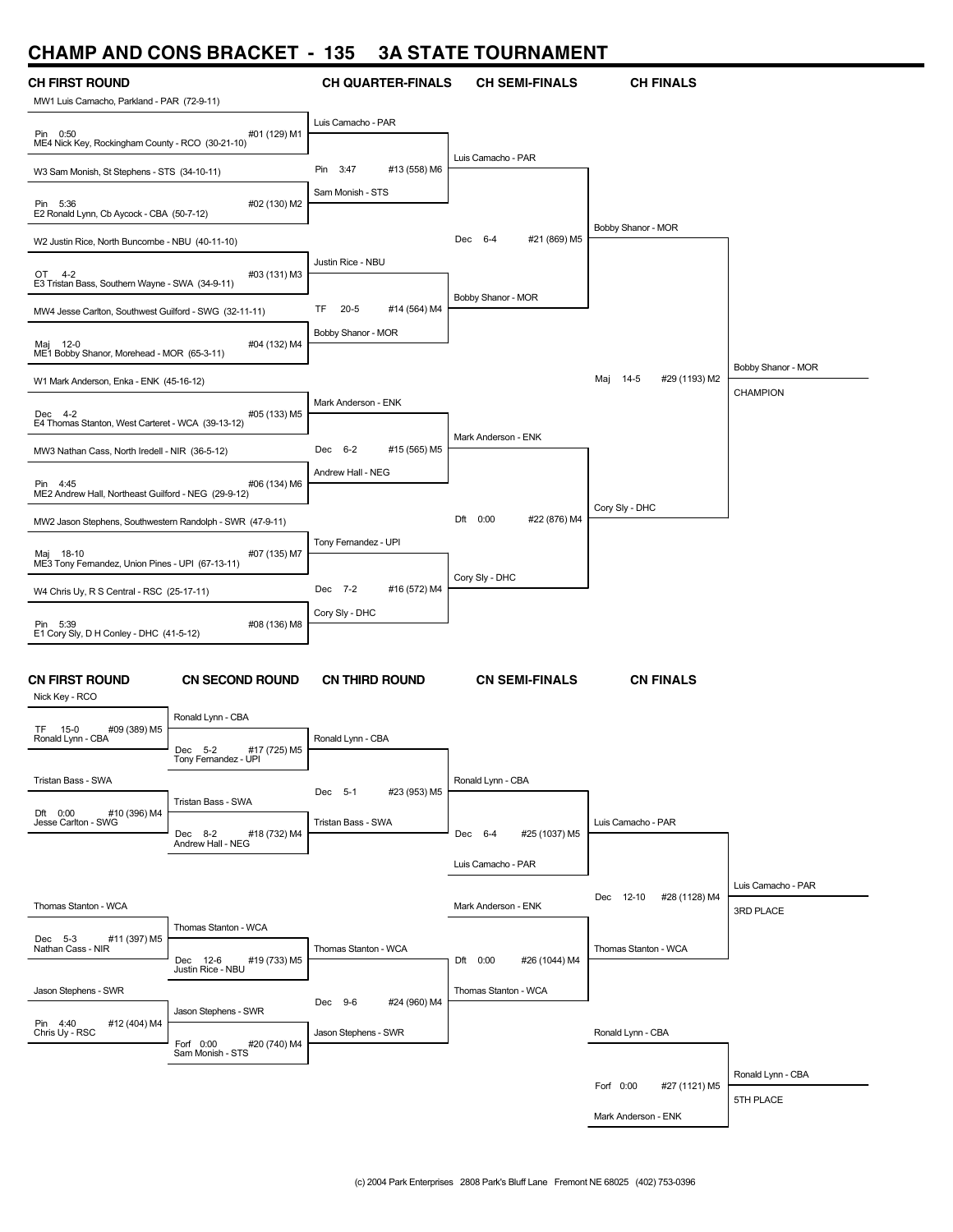#### **CHAMP AND CONS BRACKET - 135 3A STATE TOURNAMENT**

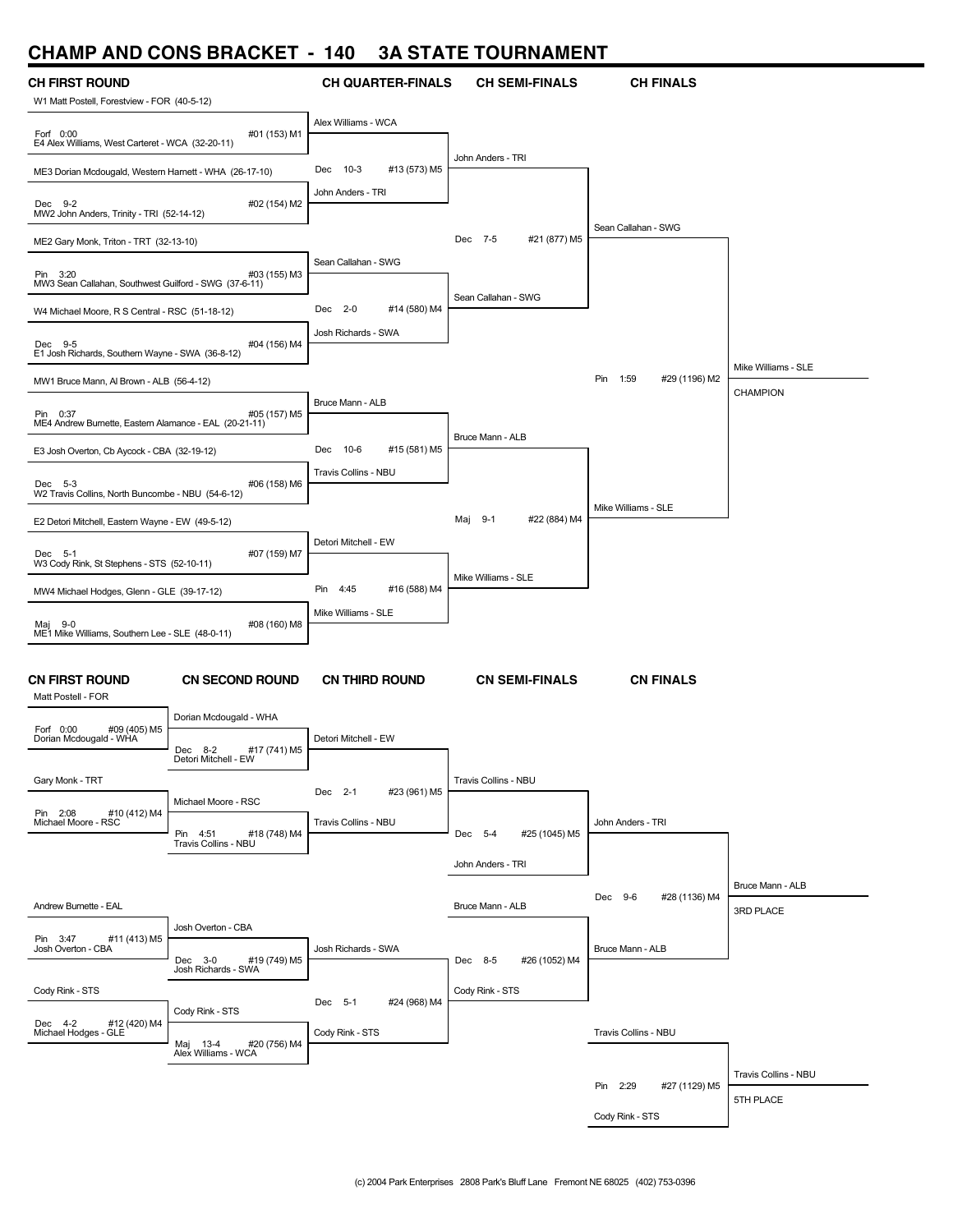## **CHAMP AND CONS BRACKET - 140 3A STATE TOURNAMENT**

| <b>CH FIRST ROUND</b>                                              |                                                                         | <b>CH QUARTER-FINALS</b>       | <b>CH SEMI-FINALS</b>    | <b>CH FINALS</b>          |                               |
|--------------------------------------------------------------------|-------------------------------------------------------------------------|--------------------------------|--------------------------|---------------------------|-------------------------------|
| W1 Matt Postell, Forestview - FOR (40-5-12)                        |                                                                         |                                |                          |                           |                               |
| Forf 0:00<br>E4 Alex Williams, West Carteret - WCA (32-20-11)      | #01 (153) M1                                                            | Alex Williams - WCA            |                          |                           |                               |
| ME3 Dorian Mcdougald, Western Harnett - WHA (26-17-10)             |                                                                         | 10-3<br>#13 (573) M5<br>Dec    | John Anders - TRI        |                           |                               |
| Dec 9-2<br>MW2 John Anders, Trinity - TRI (52-14-12)               | #02 (154) M2                                                            | John Anders - TRI              |                          |                           |                               |
| ME2 Gary Monk, Triton - TRT (32-13-10)                             |                                                                         |                                | Dec 7-5<br>#21 (877) M5  | Sean Callahan - SWG       |                               |
| Pin 3:20<br>MW3 Sean Callahan, Southwest Guilford - SWG (37-6-11)  | #03 (155) M3                                                            | Sean Callahan - SWG            |                          |                           |                               |
| W4 Michael Moore, R S Central - RSC (51-18-12)                     |                                                                         | $2 - 0$<br>#14 (580) M4<br>Dec | Sean Callahan - SWG      |                           |                               |
| Dec 9-5<br>E1 Josh Richards, Southern Wayne - SWA (36-8-12)        | #04 (156) M4                                                            | Josh Richards - SWA            |                          |                           |                               |
| MW1 Bruce Mann, Al Brown - ALB (56-4-12)                           |                                                                         |                                |                          | Pin 1:59<br>#29 (1196) M2 | Mike Williams - SLE           |
| Pin 0:37<br>ME4 Andrew Burnette, Eastern Alamance - EAL (20-21-11) | #05 (157) M5                                                            | Bruce Mann - ALB               |                          |                           | <b>CHAMPION</b>               |
| E3 Josh Overton, Cb Aycock - CBA (32-19-12)                        |                                                                         | $10-6$<br>#15 (581) M5<br>Dec  | Bruce Mann - ALB         |                           |                               |
| Dec 5-3<br>W2 Travis Collins, North Buncombe - NBU (54-6-12)       | #06 (158) M6                                                            | Travis Collins - NBU           |                          |                           |                               |
| E2 Detori Mitchell, Eastern Wayne - EW (49-5-12)                   |                                                                         |                                | Maj 9-1<br>#22 (884) M4  | Mike Williams - SLE       |                               |
|                                                                    |                                                                         | Detori Mitchell - EW           |                          |                           |                               |
| Dec 5-1<br>W3 Cody Rink, St Stephens - STS (52-10-11)              | #07 (159) M7                                                            | Pin<br>4:45<br>#16 (588) M4    | Mike Williams - SLE      |                           |                               |
| MW4 Michael Hodges, Glenn - GLE (39-17-12)                         |                                                                         | Mike Williams - SLE            |                          |                           |                               |
| Maj 9-0<br>ME1 Mike Williams, Southern Lee - SLE (48-0-11)         | #08 (160) M8                                                            |                                |                          |                           |                               |
| <b>CN FIRST ROUND</b><br>Matt Postell - FOR                        | <b>CN SECOND ROUND</b>                                                  | <b>CN THIRD ROUND</b>          | <b>CN SEMI-FINALS</b>    | <b>CN FINALS</b>          |                               |
| #09 (405) M5<br>Forf 0:00                                          | Dorian Mcdougald - WHA                                                  |                                |                          |                           |                               |
| Dorian Mcdougald - WHA                                             | Dec<br>8-2<br>#17 (741) M5<br>Detori Mitchell - EW                      | Detori Mitchell - EW           |                          |                           |                               |
| Gary Monk - TRT                                                    |                                                                         | Dec 2-1<br>#23 (961) M5        | Travis Collins - NBU     |                           |                               |
| #10 (412) M4<br>Pin 2:08<br>Michael Moore - RSC                    | Michael Moore - RSC<br>Pin 4:51<br>#18 (748) M4<br>Travis Collins - NBU | Travis Collins - NBU           | Dec 5-4<br>#25 (1045) M5 | John Anders - TRI         |                               |
|                                                                    |                                                                         |                                | John Anders - TRI        |                           |                               |
| Andrew Burnette - EAL                                              |                                                                         |                                | Bruce Mann - ALB         | Dec 9-6<br>#28 (1136) M4  | Bruce Mann - ALB<br>3RD PLACE |
| Pin 3:47<br>#11 (413) M5                                           | Josh Overton - CBA                                                      |                                |                          |                           |                               |
| Josh Overton - CBA                                                 | Dec 3-0<br>#19 (749) M5                                                 | Josh Richards - SWA            | Dec 8-5<br>#26 (1052) M4 | Bruce Mann - ALB          |                               |
| Cody Rink - STS                                                    | Josh Richards - SWA                                                     | Dec 5-1<br>#24 (968) M4        | Cody Rink - STS          |                           |                               |
| Dec 4-2 #12 (420) M4<br>Michael Hodges - GLE                       | Cody Rink - STS<br>Maj 13-4<br>#20 (756) M4                             | Cody Rink - STS                |                          | Travis Collins - NBU      |                               |
|                                                                    | Alex Williams - WCA                                                     |                                |                          |                           | Travis Collins - NBU          |
|                                                                    |                                                                         |                                |                          | Pin 2:29<br>#27 (1129) M5 | 5TH PLACE                     |
|                                                                    |                                                                         |                                |                          | Cody Rink - STS           |                               |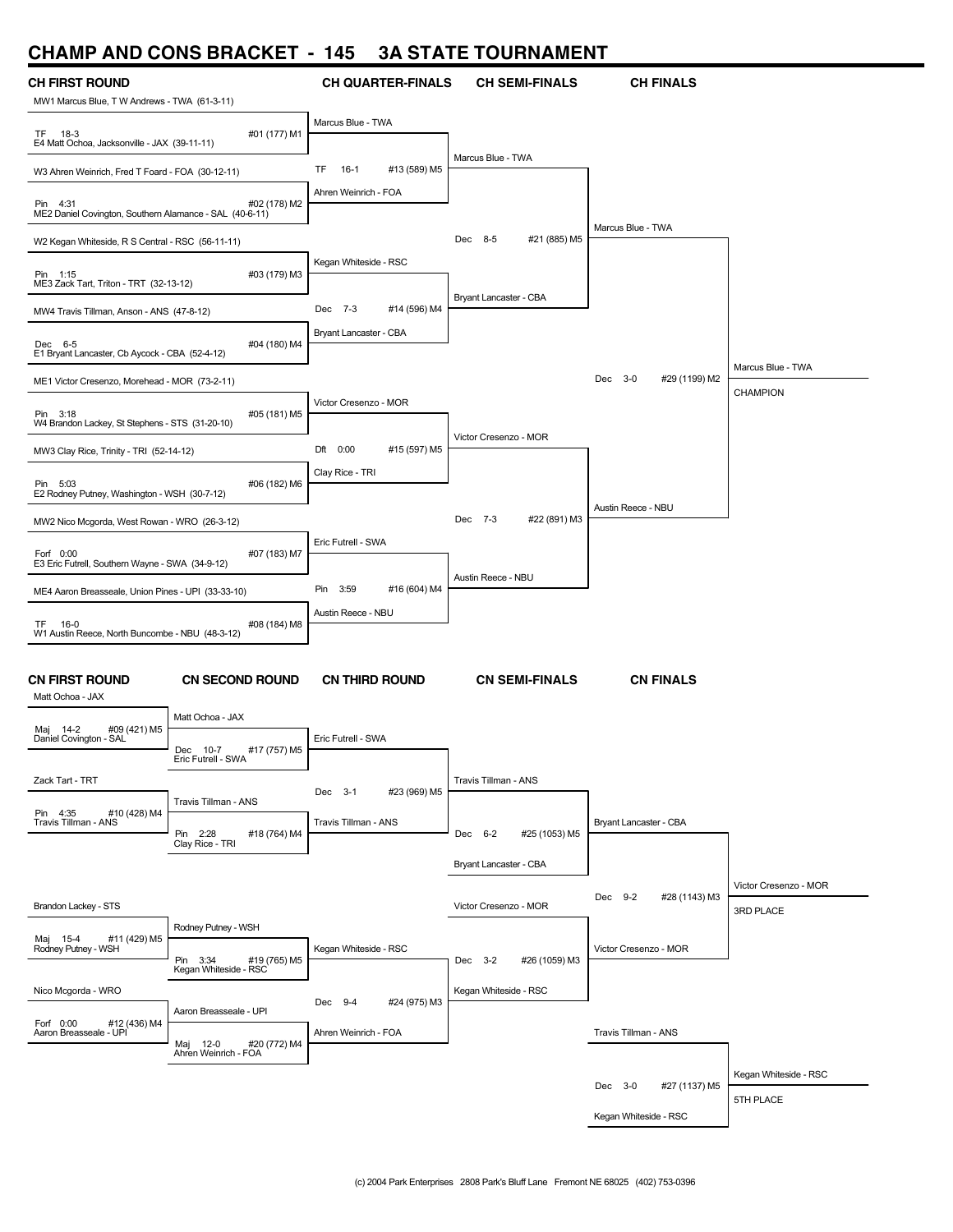#### **CHAMP AND CONS BRACKET - 145 3A STATE TOURNAMENT**

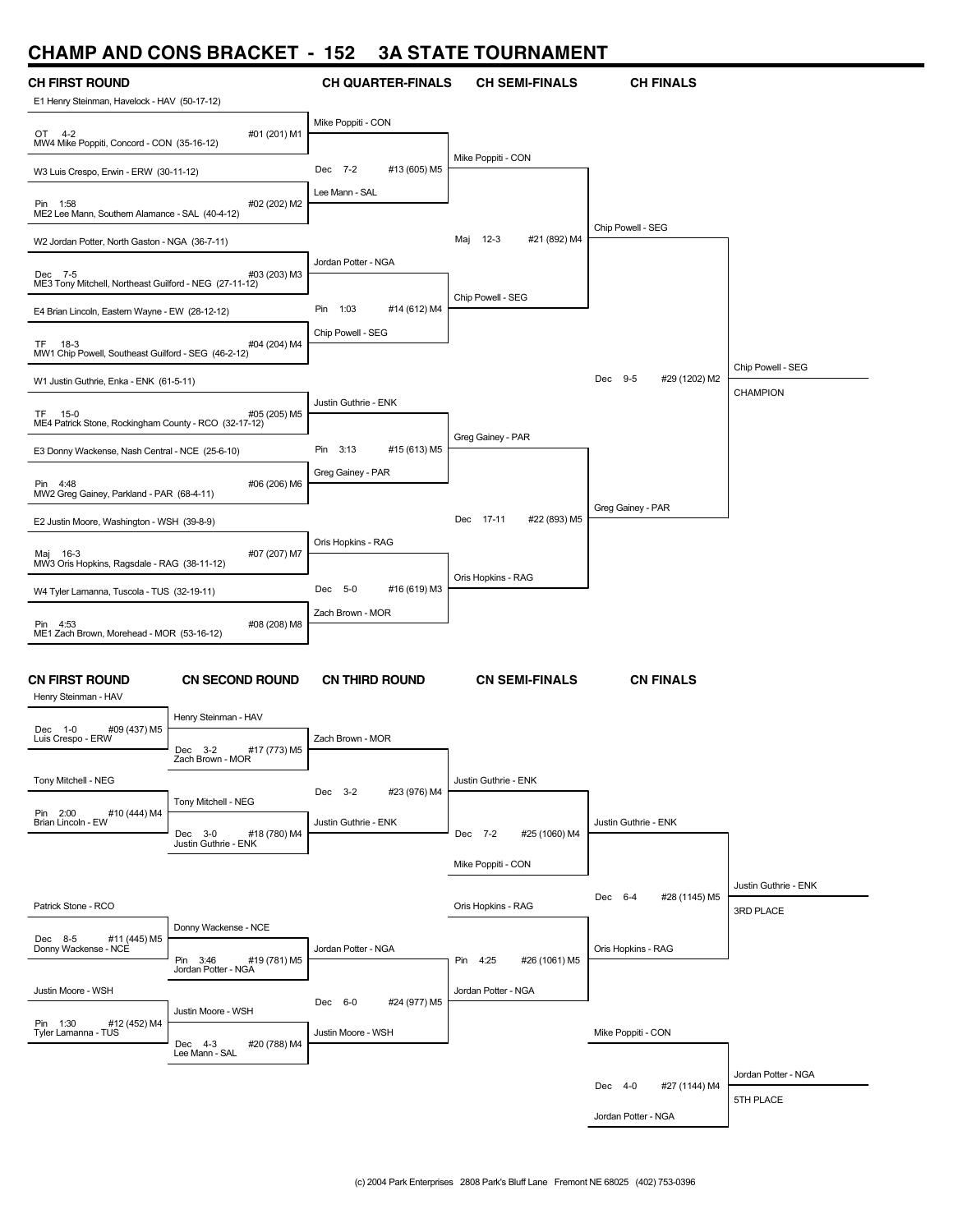# **CHAMP AND CONS BRACKET - 152 3A STATE TOURNAMENT**

| VIIMINIF MIND                                                     | <b>UUNJ DRAUNLI</b>                         | 1JZ<br>JA JIAIL          | <b>I VUNIVAIVILIVI</b>    |                          |                      |
|-------------------------------------------------------------------|---------------------------------------------|--------------------------|---------------------------|--------------------------|----------------------|
| <b>CH FIRST ROUND</b>                                             |                                             | <b>CH QUARTER-FINALS</b> | <b>CH SEMI-FINALS</b>     | <b>CH FINALS</b>         |                      |
| E1 Henry Steinman, Havelock - HAV (50-17-12)                      |                                             |                          |                           |                          |                      |
| OT 4-2<br>MW4 Mike Poppiti, Concord - CON (35-16-12)              | #01 (201) M1                                | Mike Poppiti - CON       |                           |                          |                      |
| W3 Luis Crespo, Erwin - ERW (30-11-12)                            |                                             | Dec 7-2<br>#13 (605) M5  | Mike Poppiti - CON        |                          |                      |
| Pin 1:58<br>ME2 Lee Mann, Southern Alamance - SAL (40-4-12)       | #02 (202) M2                                | Lee Mann - SAL           |                           |                          |                      |
| W2 Jordan Potter, North Gaston - NGA (36-7-11)                    |                                             |                          | Maj 12-3<br>#21 (892) M4  | Chip Powell - SEG        |                      |
|                                                                   |                                             | Jordan Potter - NGA      |                           |                          |                      |
| Dec 7-5<br>ME3 Tony Mitchell, Northeast Guilford - NEG (27-11-12) | #03 (203) M3                                |                          | Chip Powell - SEG         |                          |                      |
| E4 Brian Lincoln, Eastern Wayne - EW (28-12-12)                   |                                             | #14 (612) M4<br>Pin 1:03 |                           |                          |                      |
| TF 18-3<br>MW1 Chip Powell, Southeast Guilford - SEG (46-2-12)    | #04 (204) M4                                | Chip Powell - SEG        |                           |                          |                      |
| W1 Justin Guthrie, Enka - ENK (61-5-11)                           |                                             |                          |                           | Dec 9-5<br>#29 (1202) M2 | Chip Powell - SEG    |
| TF 15-0<br>ME4 Patrick Stone, Rockingham County - RCO (32-17-12)  | #05 (205) M5                                | Justin Guthrie - ENK     |                           |                          | CHAMPION             |
| E3 Donny Wackense, Nash Central - NCE (25-6-10)                   |                                             | #15 (613) M5<br>Pin 3:13 | Greg Gainey - PAR         |                          |                      |
| Pin 4:48                                                          | #06 (206) M6                                | Greg Gainey - PAR        |                           |                          |                      |
| MW2 Greg Gainey, Parkland - PAR (68-4-11)                         |                                             |                          |                           | Greg Gainey - PAR        |                      |
| E2 Justin Moore, Washington - WSH (39-8-9)                        |                                             |                          | #22 (893) M5<br>Dec 17-11 |                          |                      |
| Maj 16-3<br>MW3 Oris Hopkins, Ragsdale - RAG (38-11-12)           | #07 (207) M7                                | Oris Hopkins - RAG       |                           |                          |                      |
|                                                                   |                                             | #16 (619) M3<br>Dec 5-0  | Oris Hopkins - RAG        |                          |                      |
| W4 Tyler Lamanna, Tuscola - TUS (32-19-11)                        |                                             | Zach Brown - MOR         |                           |                          |                      |
| Pin 4:53<br>ME1 Zach Brown, Morehead - MOR (53-16-12)             | #08 (208) M8                                |                          |                           |                          |                      |
|                                                                   |                                             |                          |                           |                          |                      |
| <b>CN FIRST ROUND</b><br>Henry Steinman - HAV                     | <b>CN SECOND ROUND</b>                      | <b>CN THIRD ROUND</b>    | <b>CN SEMI-FINALS</b>     | <b>CN FINALS</b>         |                      |
|                                                                   | Henry Steinman - HAV                        |                          |                           |                          |                      |
| #09 (437) M5<br>Dec 1-0<br>Luis Crespo - ERW                      | Dec 3-2<br>#17 (773) M5<br>Zach Brown - MOR | Zach Brown - MOR         |                           |                          |                      |
| Tony Mitchell - NEG                                               |                                             |                          | Justin Guthrie - ENK      |                          |                      |
|                                                                   | Tony Mitchell - NEG                         | #23 (976) M4<br>Dec 3-2  |                           |                          |                      |
| Pin 2:00<br>#10 (444) M4<br>Brian Lincoln - EW                    | Dec 3-0<br>#18 (780) M4                     | Justin Guthrie - ENK     | Dec 7-2<br>#25 (1060) M4  | Justin Guthrie - ENK     |                      |
|                                                                   | Justin Guthrie - ENK                        |                          |                           |                          |                      |
|                                                                   |                                             |                          | Mike Poppiti - CON        |                          | Justin Guthrie - ENK |
| Patrick Stone - RCO                                               |                                             |                          | Oris Hopkins - RAG        | Dec 6-4<br>#28 (1145) M5 | 3RD PLACE            |
|                                                                   | Donny Wackense - NCE                        |                          |                           |                          |                      |
| #11 (445) M5<br>Dec 8-5<br>Donny Wackense - NCE                   | Pin 3:46<br>#19 (781) M5                    | Jordan Potter - NGA      | Pin 4:25<br>#26 (1061) M5 | Oris Hopkins - RAG       |                      |
|                                                                   | Jordan Potter - NGA                         |                          |                           |                          |                      |
| Justin Moore - WSH                                                | Justin Moore - WSH                          | Dec 6-0<br>#24 (977) M5  | Jordan Potter - NGA       |                          |                      |
| Pin 1:30<br>#12 (452) M4<br>Tyler Lamanna - TUS                   | Dec 4-3<br>#20 (788) M4                     | Justin Moore - WSH       |                           | Mike Poppiti - CON       |                      |
|                                                                   | Lee Mann - SAL                              |                          |                           |                          |                      |
|                                                                   |                                             |                          |                           | Dec 4-0<br>#27 (1144) M4 | Jordan Potter - NGA  |
|                                                                   |                                             |                          |                           | Jordan Potter - NGA      | 5TH PLACE            |
|                                                                   |                                             |                          |                           |                          |                      |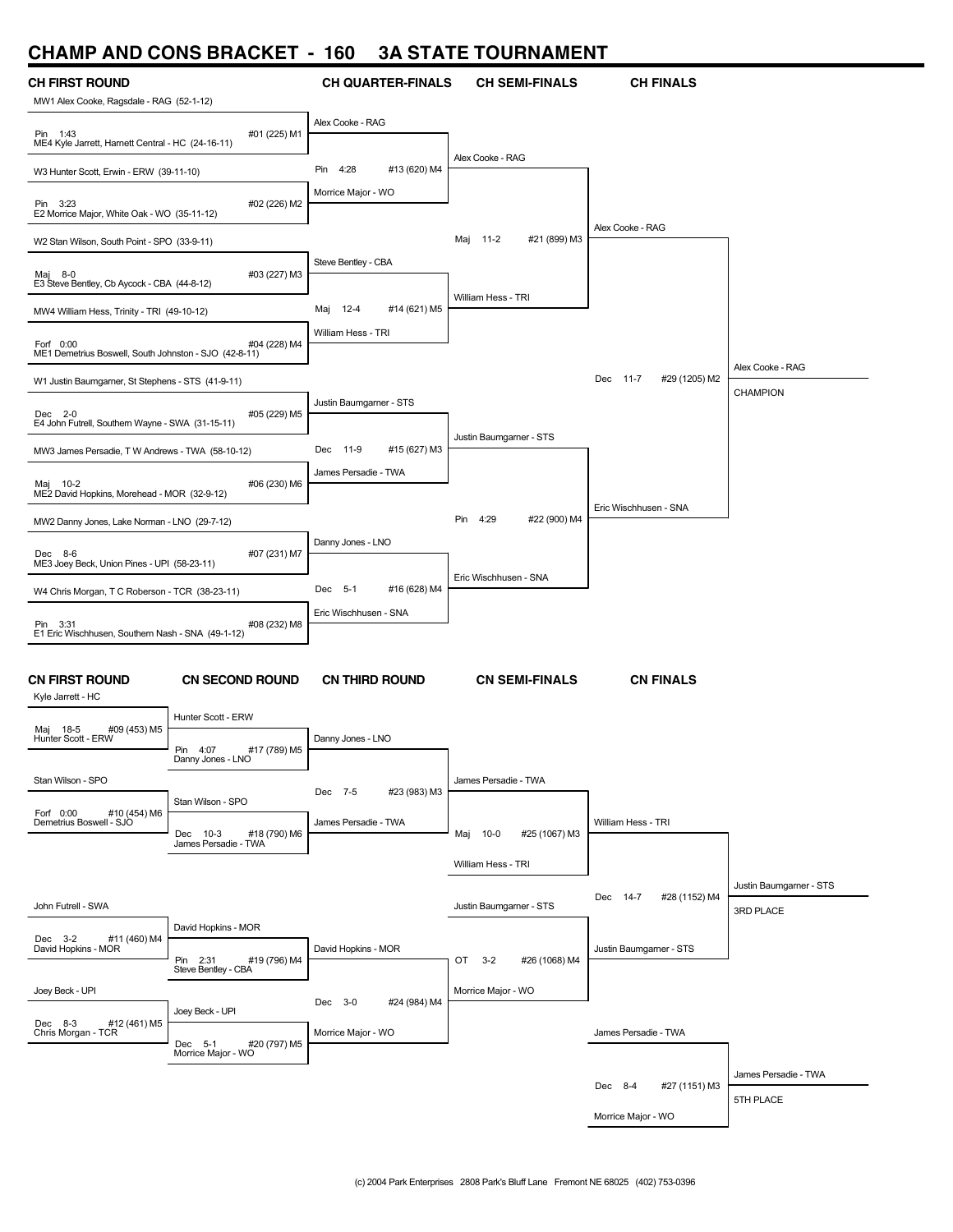## **CHAMP AND CONS BRACKET - 160 3A STATE TOURNAMENT**

|                                                                    |                                                 |                               | ,,,,,,,,,                      |                           |                         |
|--------------------------------------------------------------------|-------------------------------------------------|-------------------------------|--------------------------------|---------------------------|-------------------------|
| <b>CH FIRST ROUND</b><br>MW1 Alex Cooke, Ragsdale - RAG (52-1-12)  |                                                 | <b>CH QUARTER-FINALS</b>      | <b>CH SEMI-FINALS</b>          | <b>CH FINALS</b>          |                         |
| Pin 1:43<br>ME4 Kyle Jarrett, Harnett Central - HC (24-16-11)      | #01 (225) M1                                    | Alex Cooke - RAG              |                                |                           |                         |
| W3 Hunter Scott, Erwin - ERW (39-11-10)                            |                                                 | #13 (620) M4<br>4:28<br>Pin   | Alex Cooke - RAG               |                           |                         |
| Pin 3:23<br>E2 Morrice Major, White Oak - WO (35-11-12)            | #02 (226) M2                                    | Morrice Major - WO            |                                |                           |                         |
| W2 Stan Wilson, South Point - SPO (33-9-11)                        |                                                 |                               | #21 (899) M3<br>Maj 11-2       | Alex Cooke - RAG          |                         |
| Maj 8-0<br>E3 Steve Bentley, Cb Aycock - CBA (44-8-12)             | #03 (227) M3                                    | Steve Bentley - CBA           |                                |                           |                         |
| MW4 William Hess, Trinity - TRI (49-10-12)                         |                                                 | $12-4$<br>#14 (621) M5<br>Maj | William Hess - TRI             |                           |                         |
| Forf 0:00<br>ME1 Demetrius Boswell, South Johnston - SJO (42-8-11) | #04 (228) M4                                    | William Hess - TRI            |                                |                           |                         |
| W1 Justin Baumgarner, St Stephens - STS (41-9-11)                  |                                                 |                               |                                | Dec 11-7<br>#29 (1205) M2 | Alex Cooke - RAG        |
| Dec 2-0<br>E4 John Futrell, Southern Wayne - SWA (31-15-11)        | #05 (229) M5                                    | Justin Baumgarner - STS       |                                |                           | CHAMPION                |
| MW3 James Persadie, T W Andrews - TWA (58-10-12)                   |                                                 | Dec 11-9<br>#15 (627) M3      | Justin Baumgarner - STS        |                           |                         |
| Maj 10-2<br>ME2 David Hopkins, Morehead - MOR (32-9-12)            | #06 (230) M6                                    | James Persadie - TWA          |                                |                           |                         |
| MW2 Danny Jones, Lake Norman - LNO (29-7-12)                       |                                                 |                               | 4:29<br>#22 (900) M4<br>Pin    | Eric Wischhusen - SNA     |                         |
| Dec 8-6                                                            | #07 (231) M7                                    | Danny Jones - LNO             |                                |                           |                         |
| ME3 Joey Beck, Union Pines - UPI (58-23-11)                        |                                                 |                               | Eric Wischhusen - SNA          |                           |                         |
| W4 Chris Morgan, T C Roberson - TCR (38-23-11)                     |                                                 | Dec 5-1<br>#16 (628) M4       |                                |                           |                         |
| Pin 3:31<br>E1 Eric Wischhusen, Southern Nash - SNA (49-1-12)      | #08 (232) M8                                    | Eric Wischhusen - SNA         |                                |                           |                         |
| <b>CN FIRST ROUND</b><br>Kyle Jarrett - HC                         | <b>CN SECOND ROUND</b>                          | <b>CN THIRD ROUND</b>         | <b>CN SEMI-FINALS</b>          | <b>CN FINALS</b>          |                         |
| #09 (453) M5<br>Maj 18-5                                           | Hunter Scott - ERW                              |                               |                                |                           |                         |
| Hunter Scott - ERW                                                 | Pin 4:07<br>#17 (789) M5<br>Danny Jones - LNO   | Danny Jones - LNO             |                                |                           |                         |
| Stan Wilson - SPO<br>#10 (454) M6                                  | Stan Wilson - SPO                               | Dec 7-5<br>#23 (983) M3       | James Persadie - TWA           |                           |                         |
| Forf 0:00<br>Demetrius Boswell - SJO                               | Dec 10-3<br>#18 (790) M6                        | James Persadie - TWA          | Maj 10-0<br>#25 (1067) M3      | William Hess - TRI        |                         |
|                                                                    | James Persadie - TWA                            |                               | William Hess - TRI             |                           |                         |
|                                                                    |                                                 |                               |                                |                           | Justin Baumgarner - STS |
| John Futrell - SWA                                                 |                                                 |                               | Justin Baumgarner - STS        | #28 (1152) M4<br>Dec 14-7 | 3RD PLACE               |
| Dec 3-2<br>#11 (460) M4<br>David Hopkins - MOR                     | David Hopkins - MOR<br>Pin 2:31<br>#19 (796) M4 | David Hopkins - MOR           | OT<br>$3 - 2$<br>#26 (1068) M4 | Justin Baumgarner - STS   |                         |
| Joey Beck - UPI                                                    | Steve Bentley - CBA                             |                               | Morrice Major - WO             |                           |                         |
|                                                                    | Joey Beck - UPI                                 | Dec 3-0<br>#24 (984) M4       |                                |                           |                         |
| Dec 8-3<br>#12 (461) M5<br>Chris Morgan - TCR                      | Dec 5-1<br>#20 (797) M5<br>Morrice Major - WO   | Morrice Major - WO            |                                | James Persadie - TWA      |                         |
|                                                                    |                                                 |                               |                                | #27 (1151) M3<br>Dec 8-4  | James Persadie - TWA    |
|                                                                    |                                                 |                               |                                |                           | 5TH PLACE               |
|                                                                    |                                                 |                               |                                | Morrice Major - WO        |                         |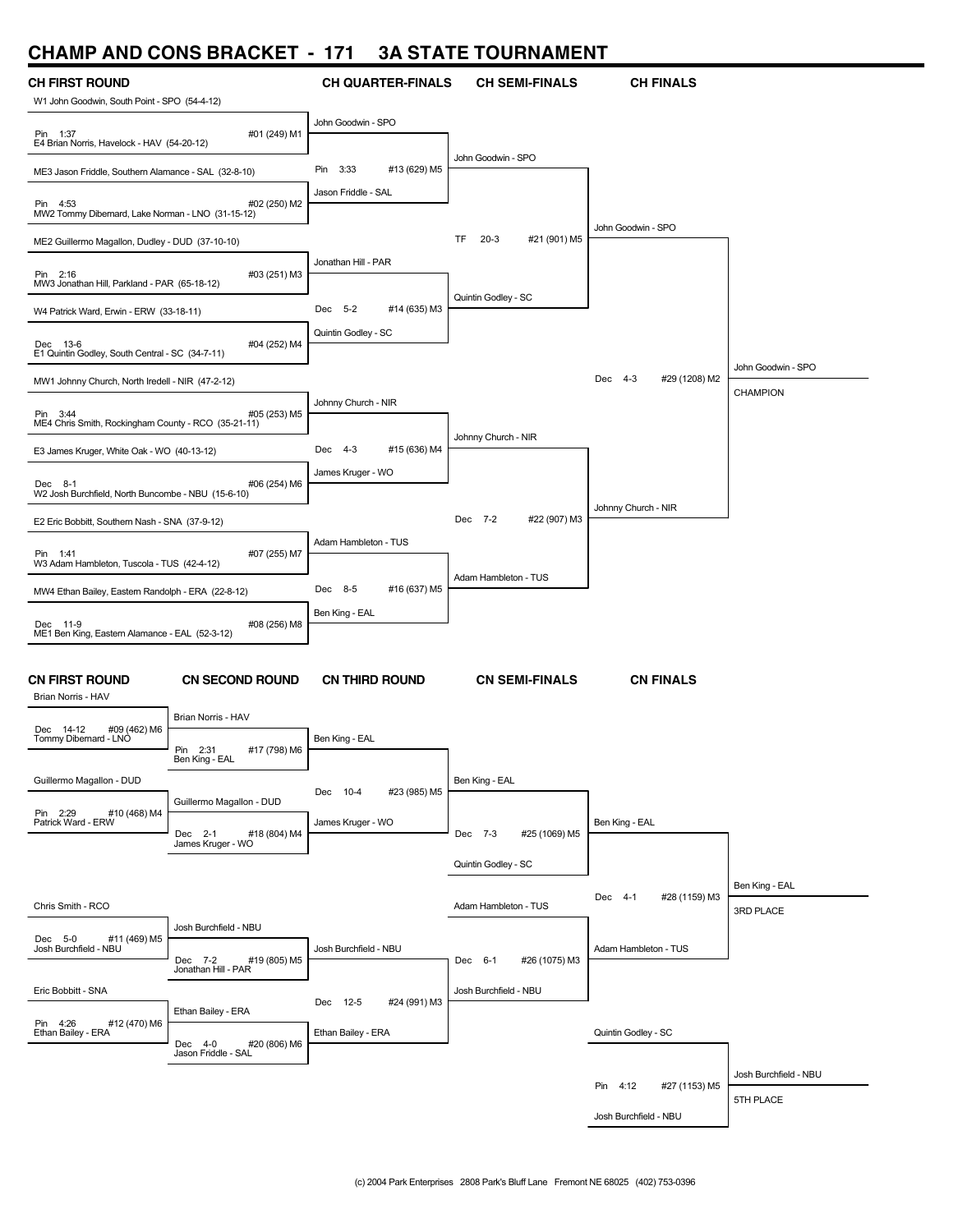#### **CHAMP AND CONS BRACKET - 171 3A STATE TOURNAMENT**



Josh Burchfield - NBU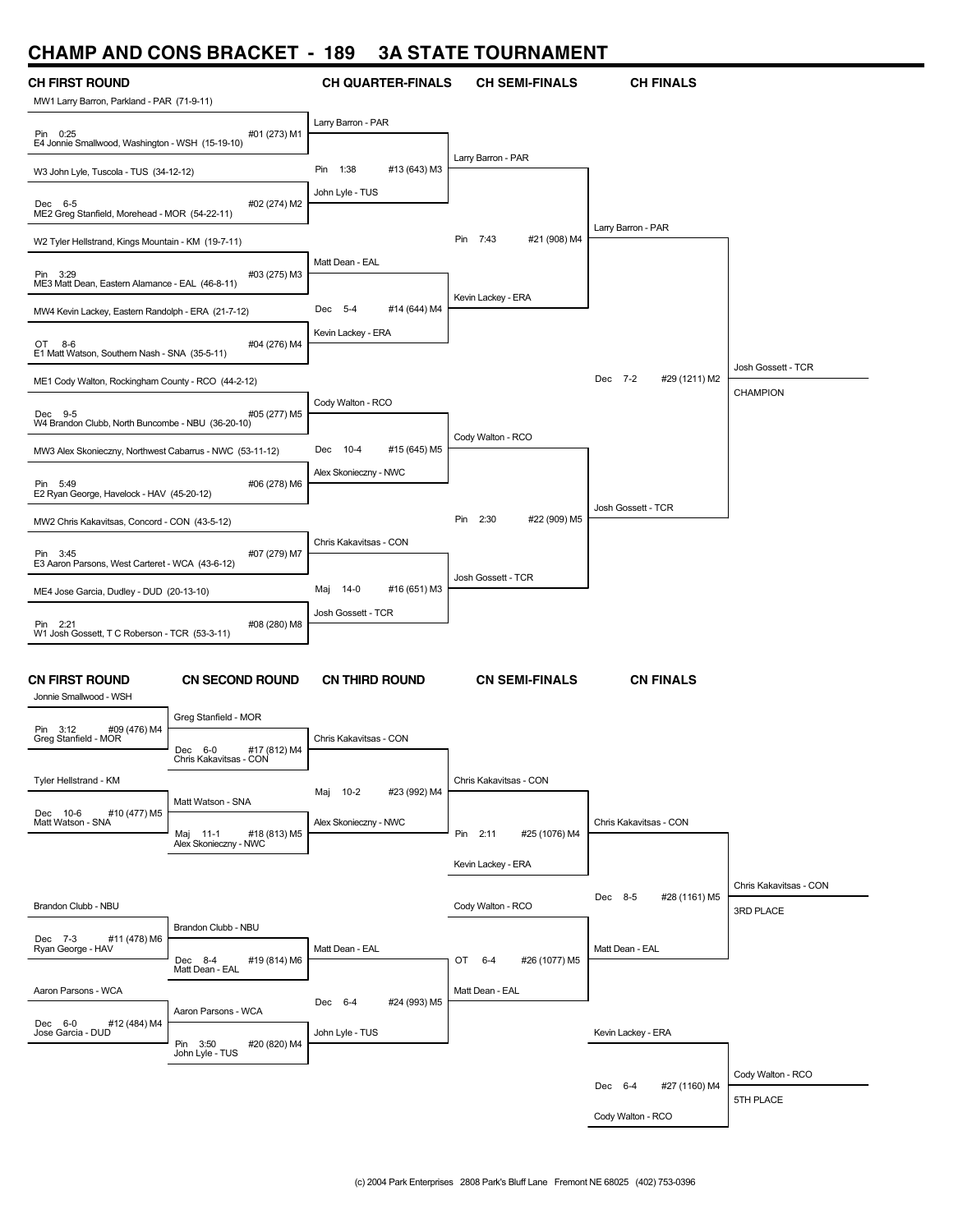## **CHAMP AND CONS BRACKET - 189 3A STATE TOURNAMENT**

| <u>CHAME AND CONS DHACKET</u>                                       |                                                                              | טט ו                          | UM JIMIL I VUIIIMMIULII     |                          |                        |
|---------------------------------------------------------------------|------------------------------------------------------------------------------|-------------------------------|-----------------------------|--------------------------|------------------------|
| <b>CH FIRST ROUND</b><br>MW1 Larry Barron, Parkland - PAR (71-9-11) |                                                                              | <b>CH QUARTER-FINALS</b>      | <b>CH SEMI-FINALS</b>       | <b>CH FINALS</b>         |                        |
| Pin 0:25<br>E4 Jonnie Smallwood, Washington - WSH (15-19-10)        | #01 (273) M1                                                                 | Larry Barron - PAR            |                             |                          |                        |
| W3 John Lyle, Tuscola - TUS (34-12-12)                              |                                                                              | #13 (643) M3<br>Pin 1:38      | Larry Barron - PAR          |                          |                        |
| Dec 6-5<br>ME2 Greg Stanfield, Morehead - MOR (54-22-11)            | #02 (274) M2                                                                 | John Lyle - TUS               |                             |                          |                        |
| W2 Tyler Hellstrand, Kings Mountain - KM (19-7-11)                  |                                                                              |                               | Pin<br>7:43<br>#21 (908) M4 | Larry Barron - PAR       |                        |
| Pin 3:29<br>ME3 Matt Dean, Eastern Alamance - EAL (46-8-11)         | #03 (275) M3                                                                 | Matt Dean - EAL               |                             |                          |                        |
| MW4 Kevin Lackey, Eastern Randolph - ERA (21-7-12)                  |                                                                              | Dec 5-4<br>#14 (644) M4       | Kevin Lackey - ERA          |                          |                        |
| OT 8-6<br>E1 Matt Watson, Southern Nash - SNA (35-5-11)             | #04 (276) M4                                                                 | Kevin Lackey - ERA            |                             |                          |                        |
| ME1 Cody Walton, Rockingham County - RCO (44-2-12)                  |                                                                              |                               |                             | Dec 7-2<br>#29 (1211) M2 | Josh Gossett - TCR     |
| Dec 9-5<br>W4 Brandon Clubb, North Buncombe - NBU (36-20-10)        | #05 (277) M5                                                                 | Cody Walton - RCO             |                             |                          | CHAMPION               |
| MW3 Alex Skonieczny, Northwest Cabarrus - NWC (53-11-12)            |                                                                              | Dec 10-4<br>#15 (645) M5      | Cody Walton - RCO           |                          |                        |
| Pin 5:49<br>E2 Ryan George, Havelock - HAV (45-20-12)               | #06 (278) M6                                                                 | Alex Skonieczny - NWC         |                             |                          |                        |
| MW2 Chris Kakavitsas, Concord - CON (43-5-12)                       |                                                                              |                               | 2:30<br>#22 (909) M5<br>Pin | Josh Gossett - TCR       |                        |
| Pin 3:45<br>E3 Aaron Parsons, West Carteret - WCA (43-6-12)         | #07 (279) M7                                                                 | Chris Kakavitsas - CON        |                             |                          |                        |
| ME4 Jose Garcia, Dudley - DUD (20-13-10)                            |                                                                              | $14-0$<br>#16 (651) M3<br>Maj | Josh Gossett - TCR          |                          |                        |
|                                                                     |                                                                              | Josh Gossett - TCR            |                             |                          |                        |
| Pin 2:21<br>W1 Josh Gossett, T C Roberson - TCR (53-3-11)           | #08 (280) M8                                                                 |                               |                             |                          |                        |
| <b>CN FIRST ROUND</b><br>Jonnie Smallwood - WSH                     | <b>CN SECOND ROUND</b>                                                       | <b>CN THIRD ROUND</b>         | <b>CN SEMI-FINALS</b>       | <b>CN FINALS</b>         |                        |
| Pin 3:12<br>#09 (476) M4                                            | Greg Stanfield - MOR                                                         |                               |                             |                          |                        |
| Greg Stanfield - MOR                                                | Dec 6-0<br>#17 (812) M4<br>Chris Kakavitsas - CON                            | Chris Kakavitsas - CON        |                             |                          |                        |
| Tyler Hellstrand - KM                                               |                                                                              | #23 (992) M4<br>Maj 10-2      | Chris Kakavitsas - CON      |                          |                        |
| #10 (477) M5<br>Dec 10-6<br>Matt Watson - SNA                       | Matt Watson - SNA<br>Maj 11-1 #18 (<br>Alex Skonieczny - NWC<br>#18 (813) M5 | Alex Skonieczny - NWC         | Pin 2:11<br>#25 (1076) M4   | Chris Kakavitsas - CON   |                        |
|                                                                     |                                                                              |                               | Kevin Lackey - ERA          |                          |                        |
|                                                                     |                                                                              |                               |                             |                          | Chris Kakavitsas - CON |
| Brandon Clubb - NBU                                                 |                                                                              |                               | Cody Walton - RCO           | Dec 8-5<br>#28 (1161) M5 | 3RD PLACE              |
| #11 (478) M6<br>Dec 7-3                                             | Brandon Clubb - NBU                                                          |                               |                             |                          |                        |
| Ryan George - HAV                                                   | #19 (814) M6<br>Dec 8-4                                                      | Matt Dean - EAL               | OT 6-4<br>#26 (1077) M5     | Matt Dean - EAL          |                        |
| Aaron Parsons - WCA                                                 | Matt Dean - EAL                                                              | Dec 6-4<br>#24 (993) M5       | Matt Dean - EAL             |                          |                        |
| Dec 6-0<br>#12 (484) M4<br>Jose Garcia - DUD                        | Aaron Parsons - WCA<br>Pin 3:50<br>#20 (820) M4<br>John Lyle - TUS           | John Lyle - TUS               |                             | Kevin Lackey - ERA       |                        |
|                                                                     |                                                                              |                               |                             |                          | Cody Walton - RCO      |
|                                                                     |                                                                              |                               |                             | Dec 6-4<br>#27 (1160) M4 | 5TH PLACE              |
|                                                                     |                                                                              |                               |                             | Cody Walton - RCO        |                        |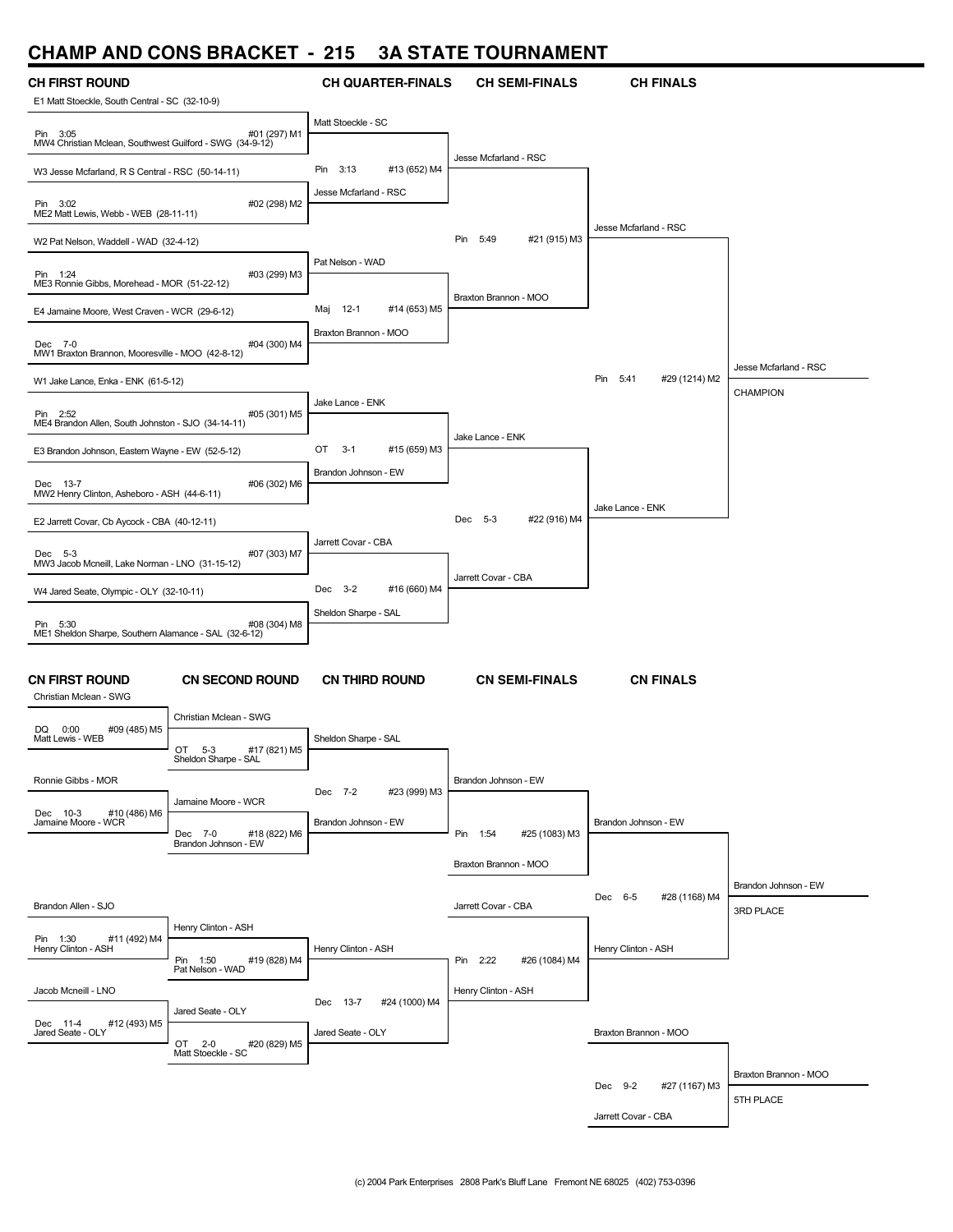## **CHAMP AND CONS BRACKET - 215 3A STATE TOURNAMENT**

| ,,,,,,,,,<br><b>AIL</b>                                                                                | V                                                                      |                             |                           |                              |                                   |
|--------------------------------------------------------------------------------------------------------|------------------------------------------------------------------------|-----------------------------|---------------------------|------------------------------|-----------------------------------|
| <b>CH FIRST ROUND</b><br>E1 Matt Stoeckle, South Central - SC (32-10-9)                                |                                                                        | <b>CH QUARTER-FINALS</b>    | <b>CH SEMI-FINALS</b>     | <b>CH FINALS</b>             |                                   |
| Pin 3:05<br>MW4 Christian Mclean, Southwest Guilford - SWG (34-9-12)                                   | #01 (297) M1                                                           | Matt Stoeckle - SC          |                           |                              |                                   |
| W3 Jesse Mcfarland, R S Central - RSC (50-14-11)                                                       |                                                                        | 3:13<br>#13 (652) M4<br>Pin | Jesse Mcfarland - RSC     |                              |                                   |
| Pin 3:02<br>ME2 Matt Lewis, Webb - WEB (28-11-11)                                                      | #02 (298) M2                                                           | Jesse Mcfarland - RSC       |                           |                              |                                   |
| W2 Pat Nelson, Waddell - WAD (32-4-12)                                                                 |                                                                        |                             | Pin 5:49<br>#21 (915) M3  | Jesse Mcfarland - RSC        |                                   |
| Pin 1:24<br>ME3 Ronnie Gibbs, Morehead - MOR (51-22-12)                                                | #03 (299) M3                                                           | Pat Nelson - WAD            |                           |                              |                                   |
| E4 Jamaine Moore, West Craven - WCR (29-6-12)                                                          |                                                                        | Maj 12-1<br>#14 (653) M5    | Braxton Brannon - MOO     |                              |                                   |
| Dec 7-0<br>MW1 Braxton Brannon, Mooresville - MOO (42-8-12)                                            | #04 (300) M4                                                           | Braxton Brannon - MOO       |                           |                              |                                   |
| W1 Jake Lance, Enka - ENK (61-5-12)                                                                    |                                                                        |                             |                           | Pin<br>5:41<br>#29 (1214) M2 | Jesse Mcfarland - RSC             |
| Pin 2:52<br>ME4 Brandon Allen, South Johnston - SJO (34-14-11)                                         | #05 (301) M5                                                           | Jake Lance - ENK            |                           |                              | <b>CHAMPION</b>                   |
| E3 Brandon Johnson, Eastern Wayne - EW (52-5-12)                                                       |                                                                        | OT<br>$3-1$<br>#15 (659) M3 | Jake Lance - ENK          |                              |                                   |
| Dec 13-7<br>MW2 Henry Clinton, Asheboro - ASH (44-6-11)                                                | #06 (302) M6                                                           | Brandon Johnson - EW        |                           |                              |                                   |
| E2 Jarrett Covar, Cb Aycock - CBA (40-12-11)                                                           |                                                                        |                             | Dec 5-3<br>#22 (916) M4   | Jake Lance - ENK             |                                   |
|                                                                                                        |                                                                        | Jarrett Covar - CBA         |                           |                              |                                   |
| Dec 5-3<br>MW3 Jacob Mcneill, Lake Norman - LNO (31-15-12)<br>W4 Jared Seate, Olympic - OLY (32-10-11) | #07 (303) M7                                                           | Dec 3-2<br>#16 (660) M4     | Jarrett Covar - CBA       |                              |                                   |
|                                                                                                        |                                                                        | Sheldon Sharpe - SAL        |                           |                              |                                   |
| Pin 5:30<br>ME1 Sheldon Sharpe, Southern Alamance - SAL (32-6-12)                                      | #08 (304) M8                                                           |                             |                           |                              |                                   |
| <b>CN FIRST ROUND</b><br>Christian Mclean - SWG                                                        | <b>CN SECOND ROUND</b>                                                 | <b>CN THIRD ROUND</b>       | <b>CN SEMI-FINALS</b>     | <b>CN FINALS</b>             |                                   |
| DQ 0:00<br>#09 (485) M5                                                                                | Christian Mclean - SWG                                                 |                             |                           |                              |                                   |
| Matt Lewis - WEB                                                                                       | OT<br>$5-3$<br>#17 (821) M5<br>Sheldon Sharpe - SAL                    | Sheldon Sharpe - SAL        |                           |                              |                                   |
| Ronnie Gibbs - MOR                                                                                     |                                                                        | #23 (999) M3<br>Dec 7-2     | Brandon Johnson - EW      |                              |                                   |
| #10 (486) M6<br>Dec 10-3<br>Jamaine Moore - WCR                                                        | Jamaine Moore - WCR<br>#18 (822) M6<br>Dec 7-0<br>Brandon Johnson - EW | Brandon Johnson - EW        | #25 (1083) M3<br>Pin 1:54 | Brandon Johnson - EW         |                                   |
|                                                                                                        |                                                                        |                             | Braxton Brannon - MOO     |                              |                                   |
| Brandon Allen - SJO                                                                                    |                                                                        |                             | Jarrett Covar - CBA       | Dec 6-5<br>#28 (1168) M4     | Brandon Johnson - EW<br>3RD PLACE |
| #11 (492) M4<br>Pin 1:30                                                                               | Henry Clinton - ASH                                                    |                             |                           |                              |                                   |
| Henry Clinton - ASH                                                                                    | #19 (828) M4<br>Pin 1:50                                               | Henry Clinton - ASH         | Pin 2:22<br>#26 (1084) M4 | Henry Clinton - ASH          |                                   |
| Jacob Mcneill - LNO                                                                                    | Pat Nelson - WAD                                                       | Dec 13-7<br>#24 (1000) M4   | Henry Clinton - ASH       |                              |                                   |
| Dec 11-4<br>Jared Seate - OLY<br>#12 (493) M5                                                          | Jared Seate - OLY<br>OT 2-0<br>#20 (829) M5                            | Jared Seate - OLY           |                           | Braxton Brannon - MOO        |                                   |
|                                                                                                        | Matt Stoeckle - SC                                                     |                             |                           |                              | Braxton Brannon - MOO             |
|                                                                                                        |                                                                        |                             |                           | Dec 9-2<br>#27 (1167) M3     | 5TH PLACE                         |
|                                                                                                        |                                                                        |                             |                           | Jarrett Covar - CBA          |                                   |